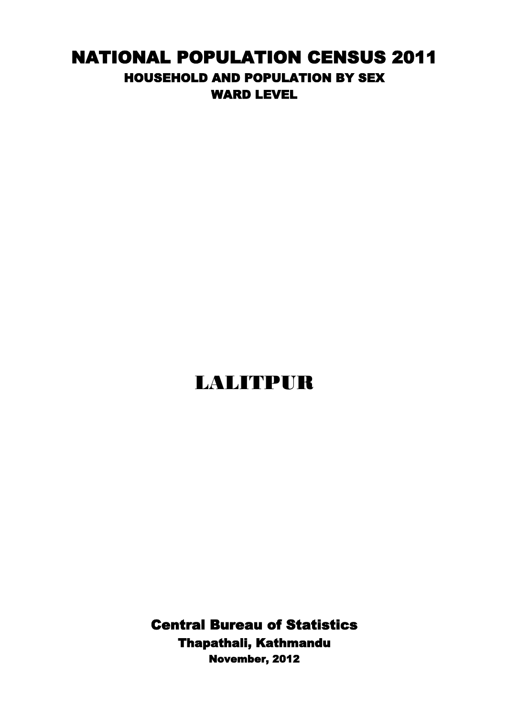## NATIONAL POPULATION CENSUS 2011 HOUSEHOLD AND POPULATION BY SEX WARD LEVEL

## LALITPUR

Central Bureau of Statistics Thapathali, Kathmandu November, 2012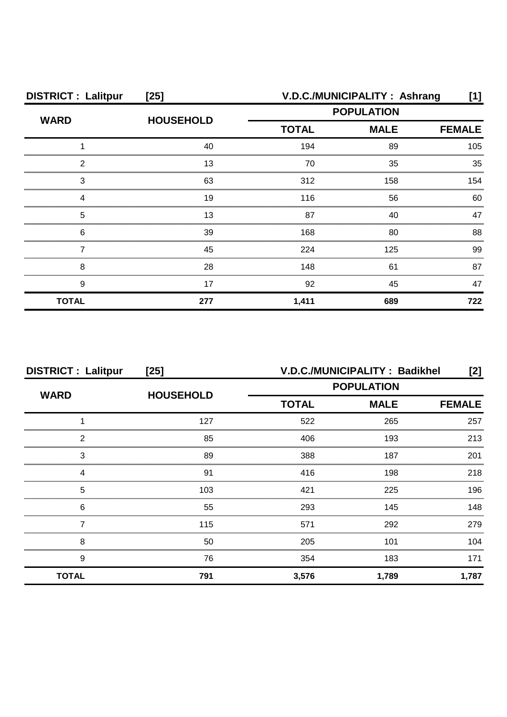| <b>DISTRICT: Lalitpur</b> | $[25]$           |                   | V.D.C./MUNICIPALITY: Ashrang | [1]           |
|---------------------------|------------------|-------------------|------------------------------|---------------|
| <b>WARD</b>               | <b>HOUSEHOLD</b> | <b>POPULATION</b> |                              |               |
|                           |                  | <b>TOTAL</b>      | <b>MALE</b>                  | <b>FEMALE</b> |
|                           | 40               | 194               | 89                           | 105           |
| 2                         | 13               | 70                | 35                           | 35            |
| З                         | 63               | 312               | 158                          | 154           |
|                           | 19               | 116               | 56                           | 60            |
| 5                         | 13               | 87                | 40                           | 47            |
| 6                         | 39               | 168               | 80                           | 88            |
|                           | 45               | 224               | 125                          | 99            |
| 8                         | 28               | 148               | 61                           | 87            |
| 9                         | 17               | 92                | 45                           | 47            |
| <b>TOTAL</b>              | 277              | 1,411             | 689                          | 722           |

| <b>DISTRICT: Lalitpur</b> | $[25]$           | V.D.C./MUNICIPALITY: Badikhel<br>[2] |             |               |
|---------------------------|------------------|--------------------------------------|-------------|---------------|
| <b>WARD</b>               | <b>HOUSEHOLD</b> | <b>POPULATION</b>                    |             |               |
|                           |                  | <b>TOTAL</b>                         | <b>MALE</b> | <b>FEMALE</b> |
|                           | 127              | 522                                  | 265         | 257           |
| 2                         | 85               | 406                                  | 193         | 213           |
| 3                         | 89               | 388                                  | 187         | 201           |
|                           | 91               | 416                                  | 198         | 218           |
| 5                         | 103              | 421                                  | 225         | 196           |
| 6                         | 55               | 293                                  | 145         | 148           |
|                           | 115              | 571                                  | 292         | 279           |
| 8                         | 50               | 205                                  | 101         | 104           |
| 9                         | 76               | 354                                  | 183         | 171           |
| <b>TOTAL</b>              | 791              | 3,576                                | 1,789       | 1,787         |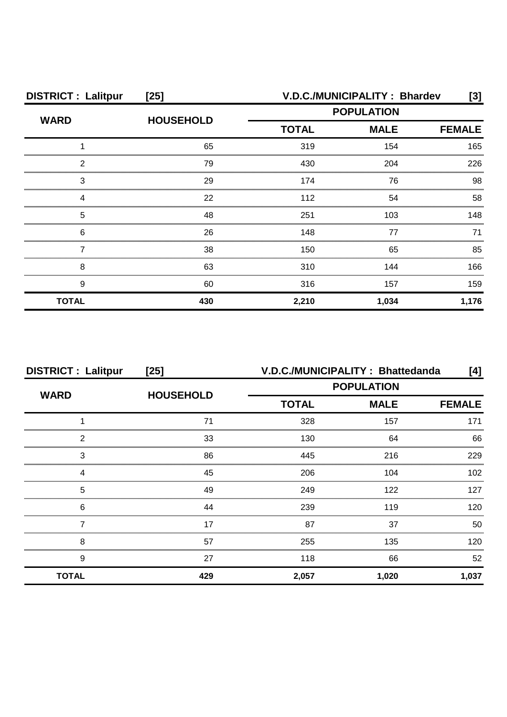| <b>DISTRICT: Lalitpur</b> | $[25]$           | V.D.C./MUNICIPALITY: Bhardev<br>[3]          |       |       |
|---------------------------|------------------|----------------------------------------------|-------|-------|
| <b>WARD</b>               | <b>HOUSEHOLD</b> | <b>POPULATION</b>                            |       |       |
|                           |                  | <b>TOTAL</b><br><b>MALE</b><br><b>FEMALE</b> |       |       |
|                           | 65               | 319                                          | 154   | 165   |
| 2                         | 79               | 430                                          | 204   | 226   |
| З                         | 29               | 174                                          | 76    | 98    |
|                           | 22               | 112                                          | 54    | 58    |
| 5                         | 48               | 251                                          | 103   | 148   |
| 6                         | 26               | 148                                          | 77    | 71    |
|                           | 38               | 150                                          | 65    | 85    |
| 8                         | 63               | 310                                          | 144   | 166   |
| 9                         | 60               | 316                                          | 157   | 159   |
| <b>TOTAL</b>              | 430              | 2,210                                        | 1,034 | 1,176 |

| <b>DISTRICT: Lalitpur</b> | $[25]$           | V.D.C./MUNICIPALITY: Bhattedanda<br>[4] |             |               |
|---------------------------|------------------|-----------------------------------------|-------------|---------------|
|                           |                  | <b>POPULATION</b>                       |             |               |
| <b>WARD</b>               | <b>HOUSEHOLD</b> | <b>TOTAL</b>                            | <b>MALE</b> | <b>FEMALE</b> |
|                           | 71               | 328                                     | 157         | 171           |
| 2                         | 33               | 130                                     | 64          | 66            |
| 3                         | 86               | 445                                     | 216         | 229           |
|                           | 45               | 206                                     | 104         | 102           |
| 5                         | 49               | 249                                     | 122         | 127           |
| 6                         | 44               | 239                                     | 119         | 120           |
|                           | 17               | 87                                      | 37          | 50            |
| 8                         | 57               | 255                                     | 135         | 120           |
| 9                         | 27               | 118                                     | 66          | 52            |
| <b>TOTAL</b>              | 429              | 2,057                                   | 1,020       | 1,037         |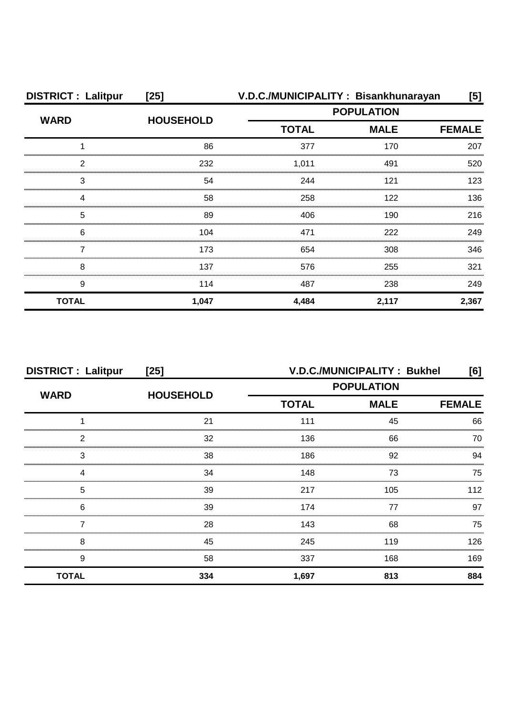| <b>DISTRICT: Lalitpur</b> | $[25]$           | V.D.C./MUNICIPALITY: Bisankhunarayan             |               | [5]   |
|---------------------------|------------------|--------------------------------------------------|---------------|-------|
| <b>WARD</b>               | <b>HOUSEHOLD</b> | <b>POPULATION</b><br><b>MALE</b><br><b>TOTAL</b> |               |       |
|                           |                  |                                                  | <b>FEMALE</b> |       |
|                           | 86               | 377                                              | 170           | 207   |
| 2                         | 232              | 1,011                                            | 491           | 520   |
| 3                         | 54               | 244                                              | 121           | 123   |
| Δ                         | 58               | 258                                              | 122           | 136   |
| 5                         | 89               | 406                                              | 190           | 216   |
| 6                         | 104              | 471                                              | 222           | 249   |
|                           | 173              | 654                                              | 308           | 346   |
| 8                         | 137              | 576                                              | 255           | 321   |
| 9                         | 114              | 487                                              | 238           | 249   |
| <b>TOTAL</b>              | 1,047            | 4,484                                            | 2,117         | 2,367 |

| <b>DISTRICT: Lalitpur</b> | $[25]$           | V.D.C./MUNICIPALITY: Bukhel |                              |     |
|---------------------------|------------------|-----------------------------|------------------------------|-----|
| <b>WARD</b>               | <b>HOUSEHOLD</b> | <b>POPULATION</b>           |                              |     |
|                           |                  | <b>TOTAL</b>                | <b>MALE</b><br><b>FEMALE</b> |     |
|                           | 21               | 111                         | 45                           | 66  |
| 2                         | 32               | 136                         | 66                           | 70  |
| 3                         | 38               | 186                         | 92                           | 94  |
|                           | 34               | 148                         | 73                           | 75  |
| 5                         | 39               | 217                         | 105                          | 112 |
| 6                         | 39               | 174                         | 77                           | 97  |
|                           | 28               | 143                         | 68                           | 75  |
| 8                         | 45               | 245                         | 119                          | 126 |
| 9                         | 58               | 337                         | 168                          | 169 |
| <b>TOTAL</b>              | 334              | 1,697                       | 813                          | 884 |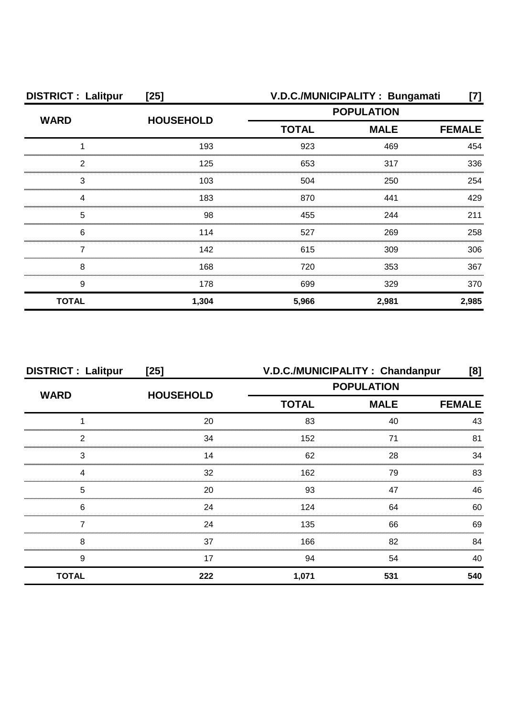| <b>DISTRICT: Lalitpur</b> | $[25]$           | V.D.C./MUNICIPALITY: Bungamati |             |               |
|---------------------------|------------------|--------------------------------|-------------|---------------|
| <b>WARD</b>               | <b>HOUSEHOLD</b> | <b>POPULATION</b>              |             |               |
|                           |                  | <b>TOTAL</b>                   | <b>MALE</b> | <b>FEMALE</b> |
|                           | 193              | 923                            | 469         | 454           |
| 2                         | 125              | 653                            | 317         | 336           |
| 3                         | 103              | 504                            | 250         | 254           |
|                           | 183              | 870                            | 441         | 429           |
| 5                         | 98               | 455                            | 244         | 211           |
| 6                         | 114              | 527                            | 269         | 258           |
|                           | 142              | 615                            | 309         | 306           |
| 8                         | 168              | 720                            | 353         | 367           |
| 9                         | 178              | 699                            | 329         | 370           |
| <b>TOTAL</b>              | 1,304            | 5,966                          | 2,981       | 2,985         |

| <b>DISTRICT: Lalitpur</b> | $[25]$           | V.D.C./MUNICIPALITY: Chandanpur<br>[8] |                                          |     |  |
|---------------------------|------------------|----------------------------------------|------------------------------------------|-----|--|
| <b>WARD</b>               | <b>HOUSEHOLD</b> | <b>POPULATION</b>                      |                                          |     |  |
|                           |                  | <b>TOTAL</b>                           | <b>MALE</b><br><b>FEMALE</b><br>83<br>40 |     |  |
|                           | 20               |                                        |                                          | 43  |  |
| າ                         | 34               | 152                                    | 71                                       | 81  |  |
| 3                         | 14               | 62                                     | 28                                       | 34  |  |
|                           | 32               | 162                                    | 79                                       | 83  |  |
| 5                         | 20               | 93                                     | 47                                       | 46  |  |
| 6                         | 24               | 124                                    | 64                                       | 60  |  |
|                           | 24               | 135                                    | 66                                       | 69  |  |
| 8                         | 37               | 166                                    | 82                                       | 84  |  |
| 9                         | 17               | 94                                     | 54                                       | 40  |  |
| <b>TOTAL</b>              | 222              | 1,071                                  | 531                                      | 540 |  |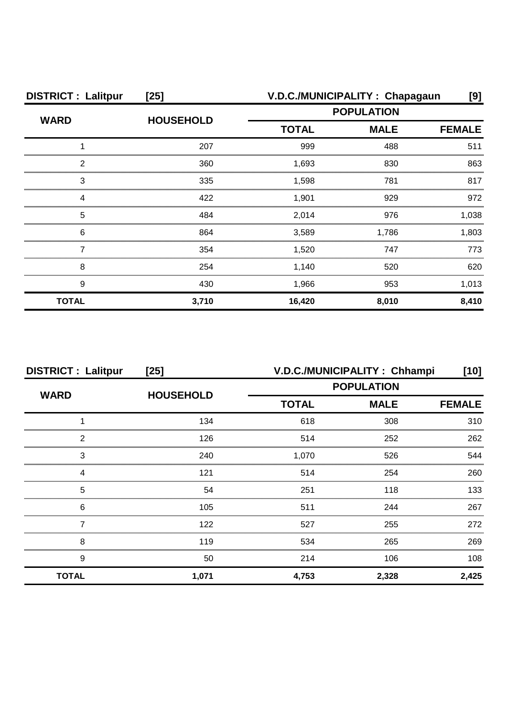| <b>DISTRICT: Lalitpur</b> | $[25]$           | V.D.C./MUNICIPALITY: Chapagaun |             |               |
|---------------------------|------------------|--------------------------------|-------------|---------------|
| <b>WARD</b>               | <b>HOUSEHOLD</b> | <b>POPULATION</b>              |             |               |
|                           |                  | <b>TOTAL</b>                   | <b>MALE</b> | <b>FEMALE</b> |
|                           | 207              | 999                            | 488         | 511           |
| 2                         | 360              | 1,693                          | 830         | 863           |
| 3                         | 335              | 1,598                          | 781         | 817           |
|                           | 422              | 1,901                          | 929         | 972           |
| 5                         | 484              | 2,014                          | 976         | 1.038         |
| 6                         | 864              | 3,589                          | 1,786       | 1,803         |
|                           | 354              | 1,520                          | 747         | 773           |
| 8                         | 254              | 1,140                          | 520         | 620           |
| 9                         | 430              | 1,966                          | 953         | 1,013         |
| <b>TOTAL</b>              | 3,710            | 16,420                         | 8,010       | 8,410         |

| <b>DISTRICT: Lalitpur</b> | $[25]$           | V.D.C./MUNICIPALITY: Chhampi<br>[10] |             |               |
|---------------------------|------------------|--------------------------------------|-------------|---------------|
|                           |                  | <b>POPULATION</b>                    |             |               |
| <b>WARD</b>               | <b>HOUSEHOLD</b> | <b>TOTAL</b>                         | <b>MALE</b> | <b>FEMALE</b> |
|                           | 134              | 618                                  | 308         | 310           |
| 2                         | 126              | 514                                  | 252         | 262           |
| З                         | 240              | 1,070                                | 526         | 544           |
|                           | 121              | 514                                  | 254         | 260           |
| 5                         | 54               | 251                                  | 118         | 133           |
| 6                         | 105              | 511                                  | 244         | 267           |
|                           | 122              | 527                                  | 255         | 272           |
| 8                         | 119              | 534                                  | 265         | 269           |
| 9                         | 50               | 214                                  | 106         | 108           |
| <b>TOTAL</b>              | 1,071            | 4,753                                | 2,328       | 2,425         |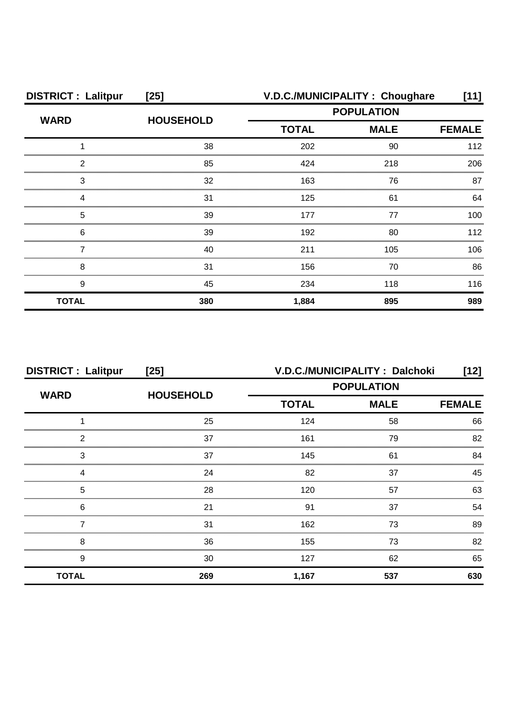| <b>DISTRICT: Lalitpur</b> | $[25]$           |                             | V.D.C./MUNICIPALITY: Choughare | [11]          |
|---------------------------|------------------|-----------------------------|--------------------------------|---------------|
| <b>WARD</b>               | <b>HOUSEHOLD</b> | <b>POPULATION</b>           |                                |               |
|                           |                  | <b>TOTAL</b><br><b>MALE</b> |                                | <b>FEMALE</b> |
|                           | 38               | 202                         | 90                             | 112           |
| 2                         | 85               | 424                         | 218                            | 206           |
| З                         | 32               | 163                         | 76                             | 87            |
|                           | 31               | 125                         | 61                             | 64            |
| 5                         | 39               | 177                         | 77                             | $100 -$       |
| 6                         | 39               | 192                         | 80                             | 112           |
|                           | 40               | 211                         | 105                            | 106           |
| 8                         | 31               | 156                         | 70                             | 86            |
| 9                         | 45               | 234                         | 118                            | 116           |
| <b>TOTAL</b>              | 380              | 1,884                       | 895                            | 989           |

| <b>DISTRICT: Lalitpur</b> | $[25]$           |              | V.D.C./MUNICIPALITY: Dalchoki | $[12]$        |
|---------------------------|------------------|--------------|-------------------------------|---------------|
| <b>WARD</b>               | <b>HOUSEHOLD</b> |              | <b>POPULATION</b>             |               |
|                           |                  | <b>TOTAL</b> | <b>MALE</b>                   | <b>FEMALE</b> |
|                           | 25               | 124          | 58                            | 66            |
| 2                         | 37               | 161          | 79                            | 82            |
| 3                         | 37               | 145          | 61                            | 84            |
|                           | 24               | 82           | 37                            | 45            |
| 5                         | 28               | 120          | 57                            | 63            |
| 6                         | 21               | .91          | 37                            | 54            |
|                           | 31               | 162          | 73                            | 89            |
| 8                         | 36               | 155          | 73                            | 82            |
| 9                         | 30               | 127          | 62                            | 65            |
| <b>TOTAL</b>              | 269              | 1,167        | 537                           | 630           |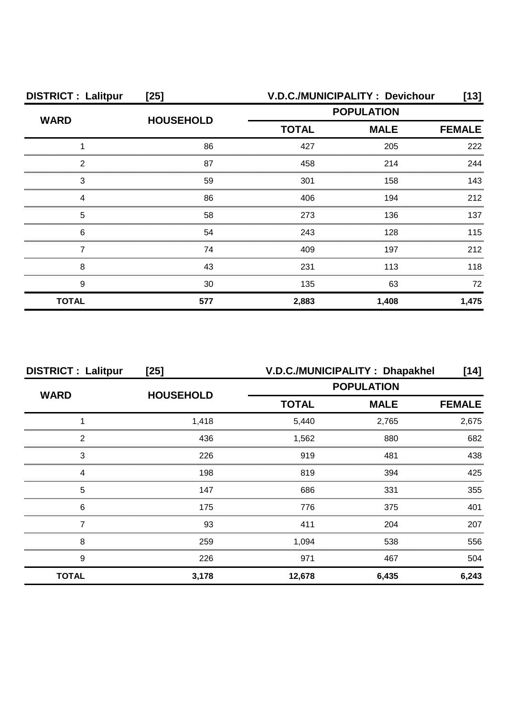| <b>DISTRICT: Lalitpur</b> | $[25]$           |                   | V.D.C./MUNICIPALITY: Devichour | [13]          |
|---------------------------|------------------|-------------------|--------------------------------|---------------|
| <b>WARD</b>               | <b>HOUSEHOLD</b> | <b>POPULATION</b> |                                |               |
|                           |                  | <b>TOTAL</b>      | <b>MALE</b>                    | <b>FEMALE</b> |
|                           | 86               | 427               | 205                            | 222           |
| 2                         | 87               | 458               | 214                            | 244           |
| З                         | 59               | 301               | 158                            | 143           |
|                           | 86               | 406               | 194                            | 212           |
| 5                         | 58               | 273               | 136                            | 137           |
| 6                         | 54               | 243               | 128                            | 115           |
|                           | 74               | 409               | 197                            | 212           |
| 8                         | 43               | 231               | 113                            | 118           |
| 9                         | 30               | 135               | 63                             | 72            |
| <b>TOTAL</b>              | 577              | 2,883             | 1,408                          | 1,475         |

| <b>DISTRICT: Lalitpur</b> | $[25]$           | V.D.C./MUNICIPALITY: Dhapakhel<br>[14] |             |               |
|---------------------------|------------------|----------------------------------------|-------------|---------------|
|                           | <b>HOUSEHOLD</b> | <b>POPULATION</b>                      |             |               |
| <b>WARD</b>               |                  | <b>TOTAL</b>                           | <b>MALE</b> | <b>FEMALE</b> |
|                           | 1,418            | 5,440                                  | 2,765       | 2,675         |
| 2                         | 436              | 1,562                                  | 880         | 682           |
| 3                         | 226              | 919                                    | 481         | 438           |
|                           | 198              | 819                                    | 394         | 425           |
| 5                         | 147              | 686                                    | 331         | 355           |
| 6                         | 175              | 776                                    | 375         | 401           |
|                           | 93               | 411                                    | 204         | 207           |
| 8                         | 259              | 1,094                                  | 538         | 556           |
| 9                         | 226              | 971                                    | 467         | 504           |
| <b>TOTAL</b>              | 3,178            | 12,678                                 | 6,435       | 6,243         |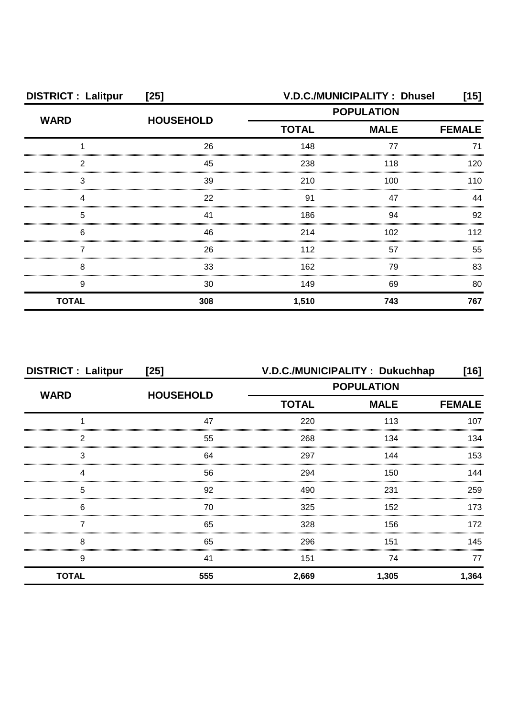| <b>DISTRICT: Lalitpur</b> | $[25]$           | V.D.C./MUNICIPALITY: Dhusel<br>[15] |                              |     |
|---------------------------|------------------|-------------------------------------|------------------------------|-----|
| <b>WARD</b>               | <b>HOUSEHOLD</b> | <b>POPULATION</b>                   |                              |     |
|                           |                  | <b>TOTAL</b>                        | <b>MALE</b><br><b>FEMALE</b> |     |
|                           | 26               | 148                                 | 77                           | 71  |
| 2                         | 45               | 238                                 | 118                          | 120 |
| 3                         | 39               | 210                                 | 100                          | 110 |
|                           | 22               | 91                                  | 47                           | 44  |
| 5                         | 41               | 186                                 | 94                           | 92  |
| 6                         | 46               | 214                                 | 102                          | 112 |
|                           | 26               | 112                                 | 57                           | 55  |
| 8                         | 33               | 162                                 | 79                           | 83  |
| 9                         | 30               | 149                                 | 69                           | 80  |
| <b>TOTAL</b>              | 308              | 1,510                               | 743                          | 767 |

| <b>DISTRICT: Lalitpur</b> | $[25]$           | V.D.C./MUNICIPALITY: Dukuchhap |             | [16]          |
|---------------------------|------------------|--------------------------------|-------------|---------------|
| <b>WARD</b>               | <b>HOUSEHOLD</b> | <b>POPULATION</b>              |             |               |
|                           |                  | <b>TOTAL</b>                   | <b>MALE</b> | <b>FEMALE</b> |
|                           | 47               | 220                            | 113         | 107           |
| 2                         | 55               | 268                            | 134         | 134           |
| 3                         | 64               | 297                            | 144         | 153           |
|                           | 56               | 294                            | 150         | 144           |
| 5                         | 92               | 490                            | 231         | 259           |
| 6                         | 70               | 325                            | 152         | 173           |
|                           | 65               | 328                            | 156         | 172           |
| 8                         | 65               | 296                            | 151         | 145           |
| 9                         | 41               | 151                            | 74          | 77            |
| <b>TOTAL</b>              | 555              | 2,669                          | 1,305       | 1,364         |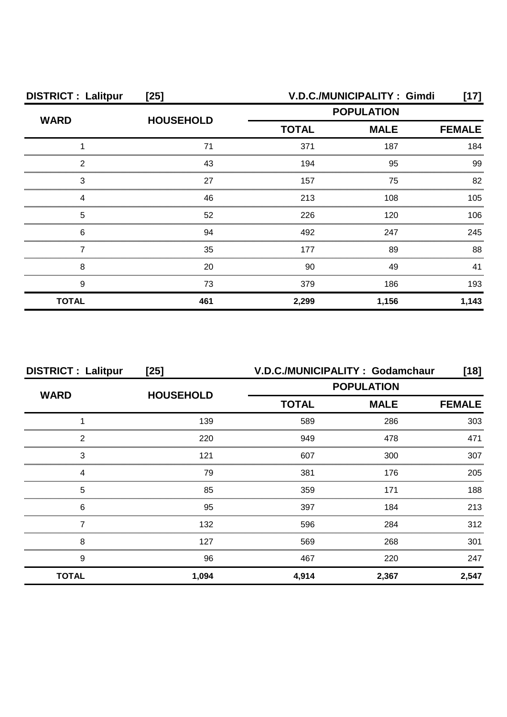| <b>DISTRICT: Lalitpur</b> | $[25]$           | V.D.C./MUNICIPALITY: Gimdi<br>[17] |             |               |
|---------------------------|------------------|------------------------------------|-------------|---------------|
| <b>WARD</b>               | <b>HOUSEHOLD</b> | <b>POPULATION</b>                  |             |               |
|                           |                  | <b>TOTAL</b>                       | <b>MALE</b> | <b>FEMALE</b> |
|                           | 71               | 371                                | 187         | 184           |
| 2                         | 43               | 194                                | 95          | 99            |
| З                         | 27               | 157                                | 75          | 82            |
|                           | 46               | 213                                | 108         | 105           |
| 5                         | 52               | 226                                | 120         | 106           |
| 6                         | 94               | 492                                | 247         | 245           |
|                           | 35               | 177                                | 89          | 88            |
| 8                         | 20               | 90                                 | 49          | 41            |
| 9                         | 73               | 379                                | 186         | 193           |
| <b>TOTAL</b>              | 461              | 2,299                              | 1,156       | 1,143         |

| <b>DISTRICT: Lalitpur</b> | $[25]$           | V.D.C./MUNICIPALITY: Godamchaur |             |               |
|---------------------------|------------------|---------------------------------|-------------|---------------|
| <b>WARD</b>               | <b>HOUSEHOLD</b> | <b>POPULATION</b>               |             |               |
|                           |                  | <b>TOTAL</b>                    | <b>MALE</b> | <b>FEMALE</b> |
|                           | 139              | 589                             | 286         | 303           |
| 2                         | 220              | 949                             | 478         | 471           |
| 3                         | 121              | 607                             | 300         | 307           |
|                           | 79               | 381                             | 176         | 205           |
| 5                         | 85               | 359                             | 171         | 188           |
| 6                         | 95               | 397                             | 184         | 213           |
|                           | 132              | 596                             | 284         | 312           |
| 8                         | 127              | 569                             | 268         | 301           |
| 9                         | 96               | 467                             | 220         | 247           |
| <b>TOTAL</b>              | 1,094            | 4,914                           | 2,367       | 2,547         |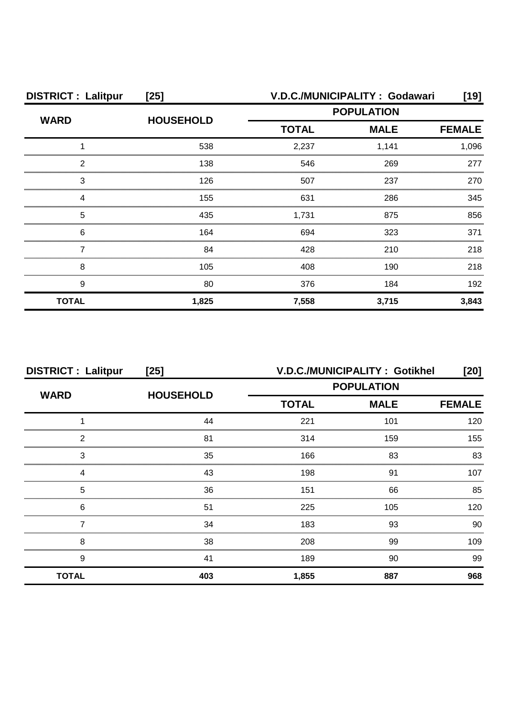| <b>DISTRICT: Lalitpur</b> | $[25]$           | V.D.C./MUNICIPALITY: Godawari                    |       |               |
|---------------------------|------------------|--------------------------------------------------|-------|---------------|
| <b>WARD</b>               | <b>HOUSEHOLD</b> | <b>POPULATION</b><br><b>TOTAL</b><br><b>MALE</b> |       |               |
|                           |                  |                                                  |       | <b>FEMALE</b> |
|                           | 538              | 2,237                                            | 1,141 | 1,096         |
| っ                         | 138              | 546                                              | 269   | 277           |
| 3                         | 126              | 507                                              | 237   | 270           |
|                           | 155              | 631                                              | 286   | 345           |
| 5                         | 435              | 1,731                                            | 875   | 856           |
| 6                         | 164              | 694                                              | 323   | 371           |
|                           | 84               | 428                                              | 210   | 218           |
| 8                         | 105              | 408                                              | 190   | 218           |
| 9                         | 80               | 376                                              | 184   | 192           |
| <b>TOTAL</b>              | 1,825            | 7,558                                            | 3,715 | 3,843         |

| <b>DISTRICT: Lalitpur</b> | $[25]$           | <b>V.D.C./MUNICIPALITY: Gotikhel</b><br>[20] |                              |     |
|---------------------------|------------------|----------------------------------------------|------------------------------|-----|
| <b>WARD</b>               | <b>HOUSEHOLD</b> | <b>POPULATION</b>                            |                              |     |
|                           |                  | <b>TOTAL</b>                                 | <b>MALE</b><br><b>FEMALE</b> |     |
|                           | 44               | 221                                          | 101                          | 120 |
| っ                         | 81               | 314                                          | 159                          | 155 |
| 3                         | 35               | 166                                          | 83                           | 83  |
|                           | 43               | 198                                          | 91                           | 107 |
| 5                         | 36               | 151                                          | 66                           | 85  |
| 6                         | 51               | 225                                          | 105                          | 120 |
|                           | 34               | 183                                          | 93                           | 90. |
| 8                         | 38               | 208                                          | 99                           | 109 |
| 9                         | 41               | 189                                          | 90                           | 99  |
| <b>TOTAL</b>              | 403              | 1,855                                        | 887                          | 968 |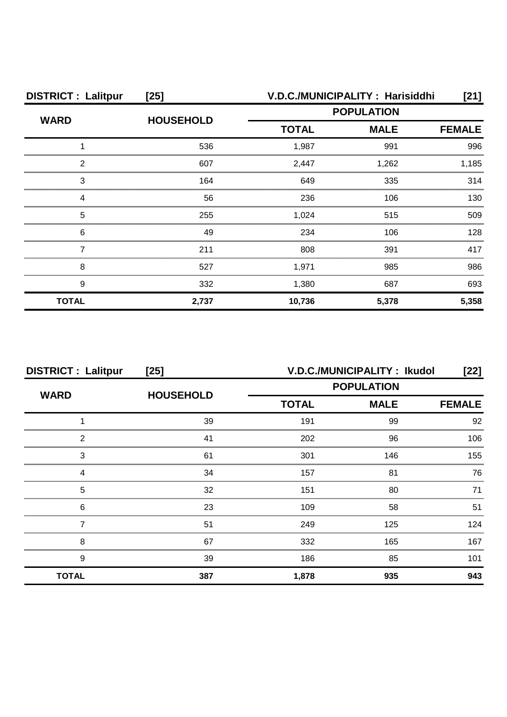| <b>DISTRICT: Lalitpur</b> | $[25]$           | V.D.C./MUNICIPALITY: Harisiddhi<br>[21] |             |               |
|---------------------------|------------------|-----------------------------------------|-------------|---------------|
| <b>WARD</b>               | <b>HOUSEHOLD</b> | <b>POPULATION</b>                       |             |               |
|                           |                  | <b>TOTAL</b>                            | <b>MALE</b> | <b>FEMALE</b> |
|                           | 536              | 1,987                                   | 991         | 996           |
| 2                         | 607              | 2,447                                   | 1,262       | 1.185         |
| 3                         | 164              | 649                                     | 335         | 314           |
|                           | 56               | 236                                     | 106         | 130           |
| 5                         | 255              | 1,024                                   | 515         | 509           |
| 6                         | 49               | 234                                     | 106         | 128           |
|                           | 211              | 808                                     | 391         | 417           |
| 8                         | 527              | 1,971                                   | 985         | 986           |
| 9                         | 332              | 1,380                                   | 687         | 693           |
| <b>TOTAL</b>              | 2,737            | 10,736                                  | 5,378       | 5,358         |

| <b>DISTRICT: Lalitpur</b> | $[25]$           | V.D.C./MUNICIPALITY: Ikudol<br>[22] |             |     |
|---------------------------|------------------|-------------------------------------|-------------|-----|
| <b>WARD</b>               | <b>HOUSEHOLD</b> | <b>POPULATION</b>                   |             |     |
|                           |                  | <b>TOTAL</b>                        | <b>MALE</b> |     |
|                           | 39               | 191                                 | 99          | 92  |
| っ                         | 41               | 202                                 | 96          | 106 |
| 3                         | 61               | 301                                 | 146         | 155 |
|                           | 34               | 157                                 | 81          | 76  |
| 5                         | 32               | 151                                 | 80          |     |
| 6                         | 23               | 109                                 | 58          | 51  |
|                           | 51               | 249                                 | 125         | 124 |
| 8                         | 67               | 332                                 | 165         | 167 |
| 9                         | 39               | 186                                 | 85          | 101 |
| <b>TOTAL</b>              | 387              | 1,878                               | 935         | 943 |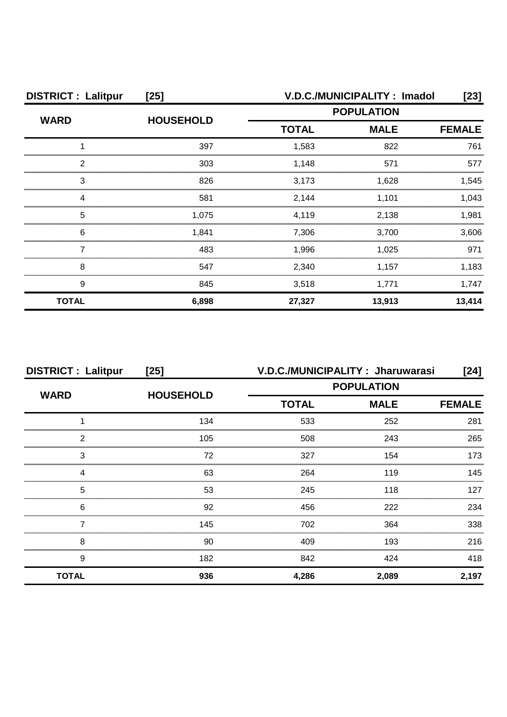| <b>DISTRICT: Lalitpur</b> | $[25]$           | V.D.C./MUNICIPALITY: Imadol<br>[23] |             |               |
|---------------------------|------------------|-------------------------------------|-------------|---------------|
| <b>WARD</b>               | <b>HOUSEHOLD</b> | <b>POPULATION</b>                   |             |               |
|                           |                  | <b>TOTAL</b>                        | <b>MALE</b> | <b>FEMALE</b> |
|                           | 397              | 1,583                               | 822         | 761           |
| っ                         | 303              | 1,148                               | 571         | 577           |
| 3                         | 826              | 3,173                               | 1,628       | 1.545         |
|                           | 581              | 2,144                               | 1,101       | 1.043         |
| 5                         | 1.075            | 4,119                               | 2,138       | 1,981         |
| 6                         | 1,841            | 7,306                               | 3,700       | 3,606         |
|                           | 483              | 1,996                               | 1,025       | 971           |
| 8                         | 547              | 2,340                               | 1,157       | 1,183         |
| 9                         | 845              | 3,518                               | 1,771       | 1,747         |
| <b>TOTAL</b>              | 6,898            | 27,327                              | 13,913      | 13,414        |

| <b>DISTRICT: Lalitpur</b> | $[25]$           | V.D.C./MUNICIPALITY: Jharuwarasi<br>$[24]$ |             |               |
|---------------------------|------------------|--------------------------------------------|-------------|---------------|
| <b>WARD</b>               |                  | <b>POPULATION</b>                          |             |               |
|                           | <b>HOUSEHOLD</b> | <b>TOTAL</b>                               | <b>MALE</b> | <b>FEMALE</b> |
|                           | 134              | 533                                        | 252         | 281           |
| 2                         | 105              | 508                                        | 243         | 265           |
| 3                         | 72               | 327                                        | 154         | 173           |
| Δ                         | 63               | 264                                        | 119         | 145           |
| 5                         | 53               | 245                                        | 118         | 127           |
| 6                         | 92               | 456                                        | 222         | 234           |
|                           | 145              | 702                                        | 364         | 338           |
| 8                         | 90               | 409                                        | 193         | 216           |
| 9                         | 182              | 842                                        | 424         | 418           |
| <b>TOTAL</b>              | 936              | 4,286                                      | 2,089       | 2,197         |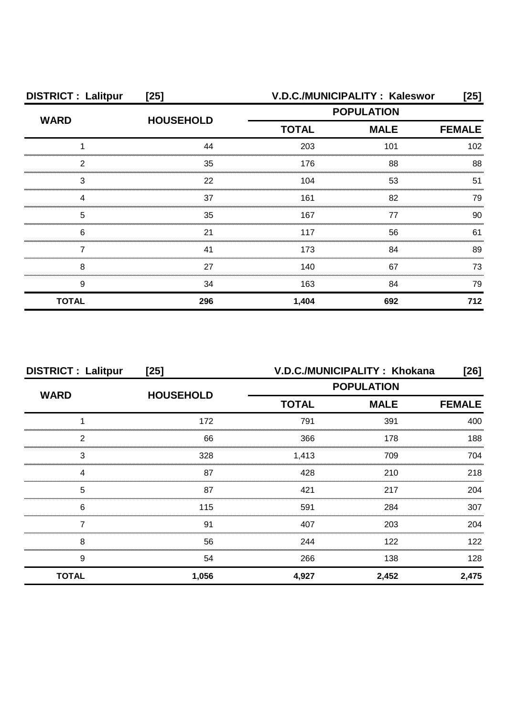| <b>DISTRICT: Lalitpur</b> | $[25]$           |                   | V.D.C./MUNICIPALITY: Kaleswor | [25] |
|---------------------------|------------------|-------------------|-------------------------------|------|
| <b>WARD</b>               | <b>HOUSEHOLD</b> | <b>POPULATION</b> |                               |      |
|                           |                  | <b>TOTAL</b>      | <b>MALE</b>                   |      |
|                           | 44               | 203               | 101                           | 102  |
| 2                         | 35               | 176               | 88                            | 88   |
| 3                         | 22               | 104               | 53                            | 51   |
|                           | 37               | 161               | 82                            | 79   |
| 5                         | 35               | 167               | 77                            | 90   |
| 6                         | 21               | 117               | 56                            | 61   |
|                           | 41               | 173               | 84                            | 89   |
| 8                         | 27               | 140               | 67                            | 73   |
| 9                         | 34               | 163               | 84                            | 79   |
| <b>TOTAL</b>              | 296              | 1,404             | 692                           | 712  |

| <b>DISTRICT: Lalitpur</b><br>$[25]$ |                  | V.D.C./MUNICIPALITY: Khokana<br>[26]         |       |       |
|-------------------------------------|------------------|----------------------------------------------|-------|-------|
| <b>WARD</b>                         | <b>HOUSEHOLD</b> | <b>POPULATION</b>                            |       |       |
|                                     |                  | <b>TOTAL</b><br><b>MALE</b><br><b>FEMALE</b> |       |       |
|                                     | 172              | 791                                          | 391   | 400   |
| っ                                   | 66               | 366                                          | 178   | 188   |
| 3                                   | 328              | 1,413                                        | 709   | 704   |
|                                     | 87               | 428                                          | 210   | 218   |
| 5                                   | 87               | 421                                          | 217   | 204   |
| 6                                   | 115              | 591                                          | 284   | 307   |
|                                     | 91               | 407                                          | 203   | 204   |
| 8                                   | 56               | 244                                          | 122   | 122   |
| 9                                   | 54               | 266                                          | 138   | 128   |
| <b>TOTAL</b>                        | 1,056            | 4,927                                        | 2,452 | 2,475 |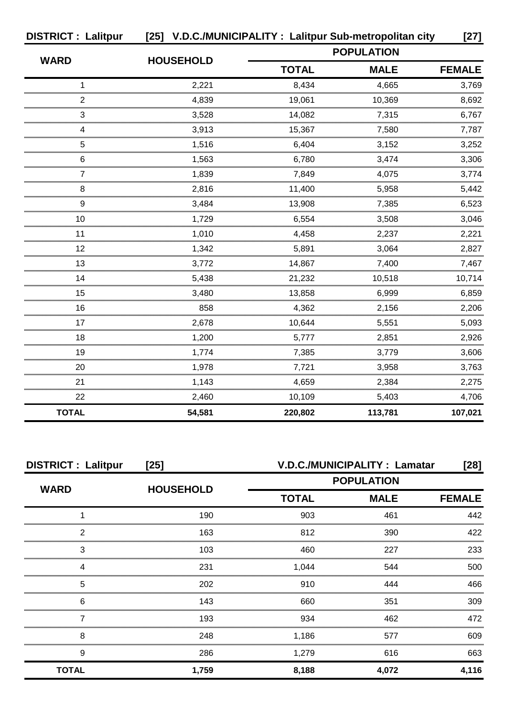| <b>DISTRICT: Lalitpur</b> | [25] V.D.C./MUNICIPALITY: Lalitpur Sub-metropolitan city |                   |             | $[27]$        |
|---------------------------|----------------------------------------------------------|-------------------|-------------|---------------|
|                           |                                                          | <b>POPULATION</b> |             |               |
| <b>WARD</b>               | <b>HOUSEHOLD</b>                                         | <b>TOTAL</b>      | <b>MALE</b> | <b>FEMALE</b> |
| 1                         | 2,221                                                    | 8,434             | 4,665       | 3,769         |
| 2                         | 4,839                                                    | 19,061            | 10,369      | 8,692         |
| 3                         | 3,528                                                    | 14,082            | 7,315       | 6,767         |
| 4                         | 3,913                                                    | 15,367            | 7,580       | 7,787         |
| 5                         | 1,516                                                    | 6,404             | 3,152       | 3,252         |
| 6                         | 1,563                                                    | 6,780             | 3,474       | 3,306         |
|                           | 1,839                                                    | 7,849             | 4,075       | 3,774         |
| 8                         | 2,816                                                    | 11,400            | 5,958       | 5,442         |
| 9                         | 3,484                                                    | 13,908            | 7,385       | 6,523         |
| 10                        | 1,729                                                    | 6,554             | 3,508       | 3,046         |
| 11                        | 1,010                                                    | 4,458             | 2,237       | 2,221         |
| 12                        | 1,342                                                    | 5,891             | 3,064       | 2,827         |
| 13                        | 3,772                                                    | 14,867            | 7,400       | 7,467         |
| 14                        | 5,438                                                    | 21,232            | 10,518      | 10,714        |
| 15                        | 3,480                                                    | 13,858            | 6,999       | 6,859         |
| 16                        | 858                                                      | 4,362             | 2,156       | 2,206         |
| 17                        | 2,678                                                    | 10,644            | 5,551       | 5,093         |
| 18                        | 1,200                                                    | 5,777             | 2,851       | 2,926         |
| 19                        | 1,774                                                    | 7,385             | 3,779       | 3,606         |
| 20                        | 1,978                                                    | 7,721             | 3,958       | 3,763         |
| 21                        | 1,143                                                    | 4,659             | 2,384       | 2,275         |
| 22                        | 2,460                                                    | 10,109            | 5,403       | 4,706         |
| <b>TOTAL</b>              | 54,581                                                   | 220,802           | 113,781     | 107,021       |

| <b>DISTRICT: Lalitpur</b> | $[25]$           | V.D.C./MUNICIPALITY : Lamatar |                   |               |
|---------------------------|------------------|-------------------------------|-------------------|---------------|
|                           |                  |                               | <b>POPULATION</b> |               |
| <b>WARD</b>               | <b>HOUSEHOLD</b> | <b>TOTAL</b>                  | <b>MALE</b>       | <b>FEMALE</b> |
|                           | 190              | 903                           | 461               | 442           |
| っ                         | 163              | 812                           | 390               | 422           |
| 3                         | 103              | 460                           | 227               | 233           |
|                           | 231              | 1,044                         | 544               | 500           |
| 5                         | 202              | 910                           | 444               | 466           |
| 6                         | 143              | 660                           | 351               | 309           |
|                           | 193              | 934                           | 462               | 472           |
| 8                         | 248              | 1,186                         | 577               | 609           |
| 9                         | 286              | 1,279                         | 616               | 663           |
| <b>TOTAL</b>              | 1,759            | 8,188                         | 4,072             | 4,116         |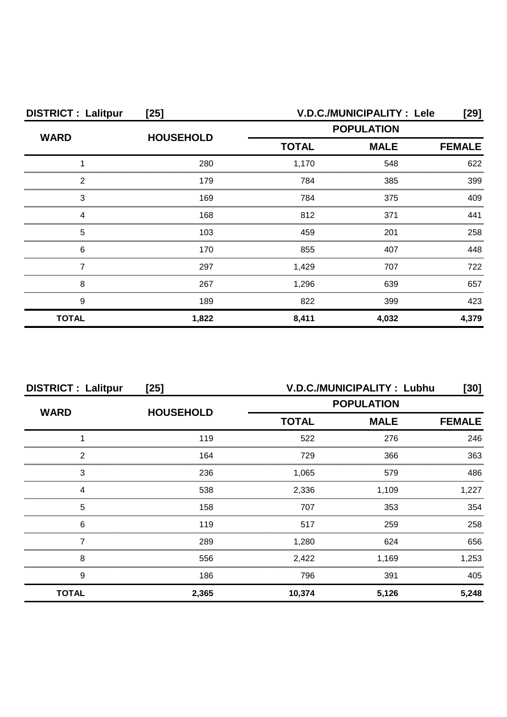| <b>DISTRICT: Lalitpur</b><br>$[25]$ |                  | V.D.C./MUNICIPALITY : Lele<br>[29] |                                                                  |               |
|-------------------------------------|------------------|------------------------------------|------------------------------------------------------------------|---------------|
|                                     | <b>HOUSEHOLD</b> |                                    | <b>POPULATION</b><br><b>MALE</b><br><b>TOTAL</b><br>1,170<br>548 |               |
| <b>WARD</b>                         |                  |                                    |                                                                  | <b>FEMALE</b> |
|                                     | 280              |                                    |                                                                  | 622           |
| 2                                   | 179              | 784                                | 385                                                              | 399           |
| 3                                   | 169              | 784                                | 375                                                              | 409           |
|                                     | 168              | 812                                | 371                                                              | 441           |
| 5                                   | 103              | 459                                | 201                                                              | 258           |
| 6                                   | 170              | 855                                | 407                                                              | 448           |
|                                     | 297              | 1,429                              | 707                                                              | 722           |
| 8                                   | 267              | 1,296                              | 639                                                              | 657           |
| 9                                   | 189              | 822                                | 399                                                              | 423           |
| <b>TOTAL</b>                        | 1,822            | 8,411                              | 4,032                                                            | 4,379         |

| <b>DISTRICT: Lalitpur</b><br>$[25]$ |                  | V.D.C./MUNICIPALITY: Lubhu<br>[30] |             |               |
|-------------------------------------|------------------|------------------------------------|-------------|---------------|
| <b>WARD</b>                         | <b>HOUSEHOLD</b> | <b>POPULATION</b>                  |             |               |
|                                     |                  | <b>TOTAL</b>                       | <b>MALE</b> | <b>FEMALE</b> |
|                                     | 119              | 522                                | 276         | 246           |
| っ                                   | 164              | 729                                | 366         | 363           |
| 3                                   | 236              | 1,065                              | 579         | 486           |
|                                     | 538              | 2,336                              | 1,109       | .227          |
| 5                                   | 158              | 707                                | 353         | 354           |
| 6                                   | 119              | 517                                | 259         | 258           |
|                                     | 289              | 1,280                              | 624         | 656           |
| 8                                   | 556              | 2,422                              | 1,169       | 1,253         |
| 9                                   | 186              | 796                                | 391         | 405           |
| <b>TOTAL</b>                        | 2,365            | 10,374                             | 5,126       | 5,248         |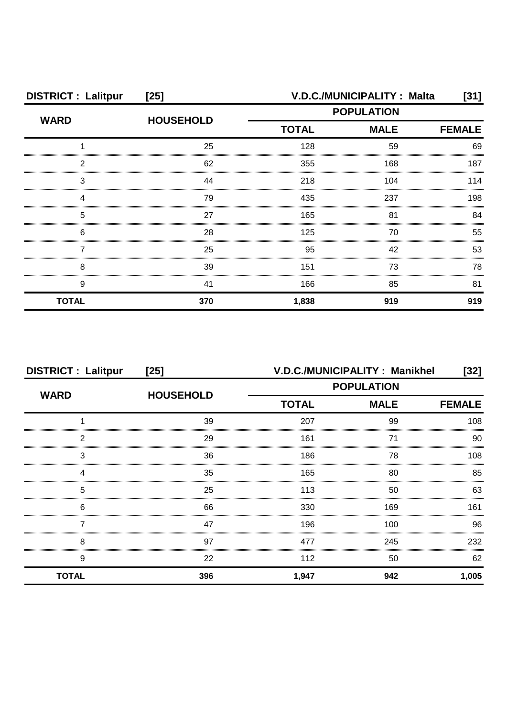| <b>DISTRICT: Lalitpur</b> | $[25]$           | V.D.C./MUNICIPALITY: Malta<br>[31]               |     |               |
|---------------------------|------------------|--------------------------------------------------|-----|---------------|
| <b>WARD</b>               | <b>HOUSEHOLD</b> | <b>POPULATION</b><br><b>TOTAL</b><br><b>MALE</b> |     |               |
|                           |                  |                                                  |     | <b>FEMALE</b> |
|                           | 25               | 128                                              | 59  | 69            |
| ◠                         | 62               | 355                                              | 168 | 187           |
| З                         | 44               | 218                                              | 104 | 114           |
|                           | 79               | 435                                              | 237 | 198           |
| 5                         | 27               | 165                                              | 81  | 84            |
| 6                         | 28               | 125                                              | 70  | 55            |
|                           | 25               | 95                                               | 42  | 53            |
| 8                         | 39               | 151                                              | 73  | 78            |
| 9                         | 41               | 166                                              | 85  | 81            |
| <b>TOTAL</b>              | 370              | 1,838                                            | 919 | 919           |

| <b>DISTRICT: Lalitpur</b> | $[25]$           | V.D.C./MUNICIPALITY: Manikhel<br>[32] |     |               |
|---------------------------|------------------|---------------------------------------|-----|---------------|
| <b>WARD</b>               | <b>HOUSEHOLD</b> | <b>POPULATION</b>                     |     |               |
|                           |                  | <b>MALE</b><br><b>TOTAL</b>           |     | <b>FEMALE</b> |
|                           | 39               | 207                                   | 99  | 108           |
| 2                         | 29               | 161                                   | 71  | 90            |
| 3                         | 36               | 186                                   | 78  | 108           |
|                           | 35               | 165                                   | 80  | 85            |
| 5                         | 25               | 113                                   | 50  | 63            |
| 6                         | 66               | 330                                   | 169 | 161           |
|                           | 47               | 196                                   | 100 | 96            |
| 8                         | 97               | 477                                   | 245 | 232           |
| 9                         | 22               | 112                                   | 50  | 62            |
| <b>TOTAL</b>              | 396              | 1,947                                 | 942 | 1,005         |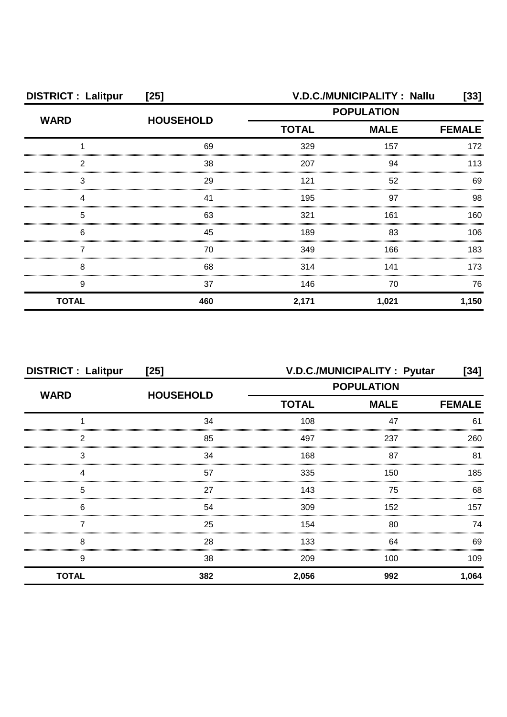| <b>DISTRICT: Lalitpur</b> | $[25]$           | V.D.C./MUNICIPALITY: Nallu<br>[33]                                                                                                                |       |       |  |
|---------------------------|------------------|---------------------------------------------------------------------------------------------------------------------------------------------------|-------|-------|--|
| <b>WARD</b>               | <b>HOUSEHOLD</b> | <b>POPULATION</b><br><b>TOTAL</b><br><b>MALE</b><br><b>FEMALE</b><br>329<br>157<br>207<br>94<br>121<br>52<br>195<br>97<br>161<br>321<br>189<br>83 |       |       |  |
|                           |                  |                                                                                                                                                   |       |       |  |
|                           | 69               |                                                                                                                                                   |       | 172   |  |
| 2                         | 38               |                                                                                                                                                   |       | 113   |  |
| 3                         | 29               |                                                                                                                                                   |       | 69    |  |
|                           | 41               |                                                                                                                                                   |       | 98    |  |
| 5                         | 63               |                                                                                                                                                   |       | 160   |  |
| 6                         | 45               |                                                                                                                                                   |       | 106   |  |
|                           | 70               | 349                                                                                                                                               | 166   | 183   |  |
| 8                         | 68               | 314                                                                                                                                               | 141   | 173   |  |
| 9                         | 37               | 146                                                                                                                                               | 70    | 76    |  |
| <b>TOTAL</b>              | 460              | 2,171                                                                                                                                             | 1,021 | 1,150 |  |

| <b>DISTRICT: Lalitpur</b> | $[25]$           | V.D.C./MUNICIPALITY : Pyutar<br>[34] |                   |               |
|---------------------------|------------------|--------------------------------------|-------------------|---------------|
| <b>WARD</b>               | <b>HOUSEHOLD</b> |                                      | <b>POPULATION</b> |               |
|                           |                  | <b>TOTAL</b>                         | <b>MALE</b>       | <b>FEMALE</b> |
|                           | 34               | 108                                  | 47                | 61            |
| 2                         | 85               | 497                                  | 237               | 260           |
| 3                         | 34               | 168                                  | 87                | 81            |
| Δ                         | 57               | 335                                  | 150               | 185           |
| 5                         | 27               | 143                                  | 75                | 68            |
| 6                         | 54               | 309                                  | 152               | 157           |
|                           | 25               | 154                                  | 80                | 74            |
| 8                         | 28               | 133                                  | 64                | 69            |
| 9                         | 38               | 209                                  | 100               | 109           |
| <b>TOTAL</b>              | 382              | 2,056                                | 992               | 1,064         |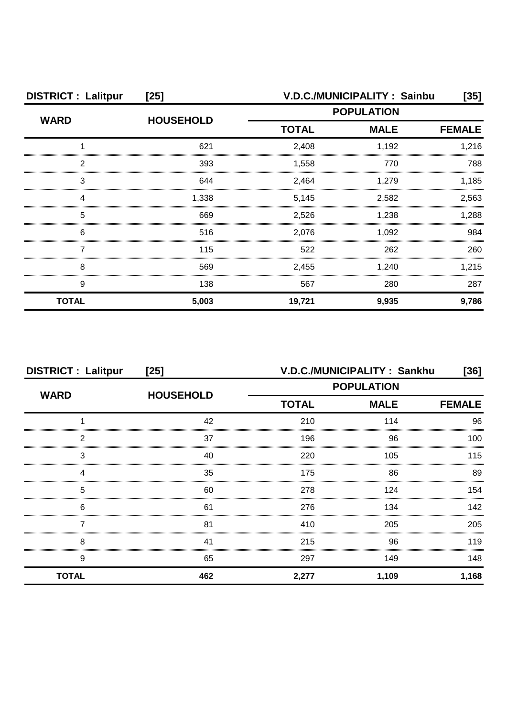| <b>DISTRICT: Lalitpur</b><br>$[25]$ |                  | V.D.C./MUNICIPALITY: Sainbu<br>[35] |             |               |
|-------------------------------------|------------------|-------------------------------------|-------------|---------------|
|                                     | <b>HOUSEHOLD</b> | <b>POPULATION</b>                   |             |               |
| <b>WARD</b>                         |                  | <b>TOTAL</b>                        | <b>MALE</b> | <b>FEMALE</b> |
|                                     | 621              | 2,408                               | 1,192       | 1,216         |
| ◠                                   | 393              | 1,558                               | 770         | 788           |
| 3                                   | 644              | 2,464                               | 1,279       | 1.185         |
|                                     | 1,338            | 5,145                               | 2,582       | 2,563         |
| 5                                   | 669              | 2,526                               | 1,238       | 1,288         |
| 6                                   | 516              | 2,076                               | 1,092       | 984           |
|                                     | 115              | 522                                 | 262         | 260           |
| 8                                   | 569              | 2,455                               | 1,240       | 1,215         |
| 9                                   | 138              | 567                                 | 280         | 287           |
| <b>TOTAL</b>                        | 5,003            | 19,721                              | 9,935       | 9,786         |

| <b>DISTRICT : Lalitpur</b><br>$[25]$ |                  | V.D.C./MUNICIPALITY: Sankhu<br>[36] |             |               |
|--------------------------------------|------------------|-------------------------------------|-------------|---------------|
| <b>WARD</b>                          | <b>HOUSEHOLD</b> | <b>POPULATION</b>                   |             |               |
|                                      |                  | <b>TOTAL</b>                        | <b>MALE</b> | <b>FEMALE</b> |
|                                      | 42               | 210                                 | 114         | 96            |
| 2                                    | 37               | 196                                 | 96          | 100           |
| 3                                    | 40               | 220                                 | 105         | 115           |
| 4                                    | 35               | 175                                 | 86          | 89            |
| 5                                    | 60               | 278                                 | 124         | 154           |
| 6                                    | 61               | 276                                 | 134         | 142           |
|                                      | 81               | 410                                 | 205         | 205           |
| 8                                    | 41               | 215                                 | 96          | 119           |
| 9                                    | 65               | 297                                 | 149         | 148           |
| <b>TOTAL</b>                         | 462              | 2,277                               | 1,109       | 1,168         |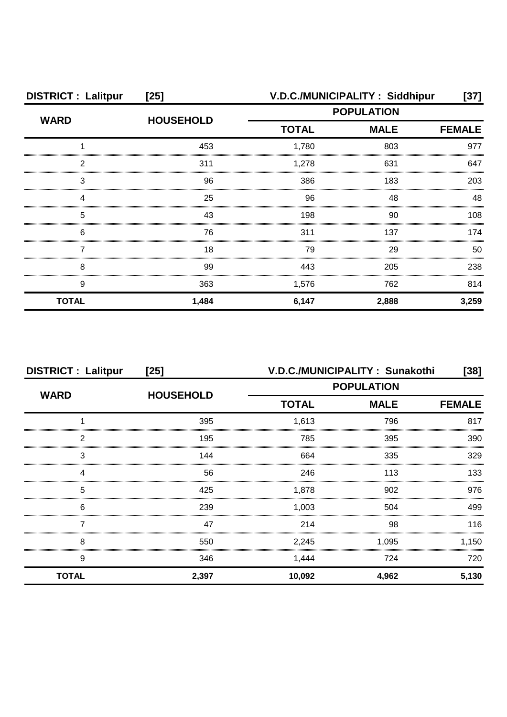| <b>DISTRICT: Lalitpur</b> | $[25]$           | V.D.C./MUNICIPALITY: Siddhipur<br>[37] |             |               |
|---------------------------|------------------|----------------------------------------|-------------|---------------|
|                           |                  | <b>POPULATION</b>                      |             |               |
| <b>WARD</b>               | <b>HOUSEHOLD</b> | <b>TOTAL</b>                           | <b>MALE</b> | <b>FEMALE</b> |
|                           | 453              | 1,780                                  | 803         | 977           |
| 2                         | 311              | 1,278                                  | 631         | 647           |
| 3                         | 96               | 386                                    | 183         | 203           |
|                           | 25               | 96                                     | 48          | 48            |
| 5                         | 43               | 198                                    | 90          | 108           |
| 6                         | 76               | 311                                    | 137         | 174           |
|                           | 18               | 79                                     | 29          | 50            |
| 8                         | 99               | 443                                    | 205         | 238           |
| 9                         | 363              | 1,576                                  | 762         | 814           |
| <b>TOTAL</b>              | 1,484            | 6,147                                  | 2,888       | 3,259         |

| <b>DISTRICT: Lalitpur</b> | [25]             | V.D.C./MUNICIPALITY: Sunakothi<br>[38] |             |               |
|---------------------------|------------------|----------------------------------------|-------------|---------------|
| <b>WARD</b>               | <b>HOUSEHOLD</b> | <b>POPULATION</b>                      |             |               |
|                           |                  | <b>TOTAL</b>                           | <b>MALE</b> | <b>FEMALE</b> |
|                           | 395              | 1,613                                  | 796         | 817           |
| っ                         | 195              | 785                                    | 395         | 390           |
| 3                         | 144              | 664                                    | 335         | 329           |
|                           | 56               | 246                                    | 113         | 133           |
| 5                         | 425              | 1,878                                  | 902         | 976           |
| 6                         | 239              | 1,003                                  | 504         | 499           |
|                           | 47               | 214                                    | 98          | 116           |
| 8                         | 550              | 2,245                                  | 1,095       | 1,150         |
| 9                         | 346              | 1,444                                  | 724         | 720           |
| <b>TOTAL</b>              | 2,397            | 10,092                                 | 4,962       | 5,130         |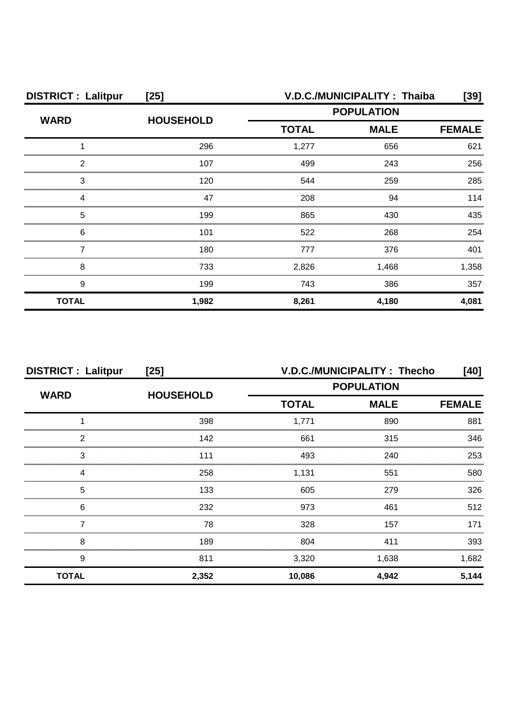| <b>DISTRICT: Lalitpur</b><br>$[25]$ |                  |                   | V.D.C./MUNICIPALITY: Thaiba | [39]          |
|-------------------------------------|------------------|-------------------|-----------------------------|---------------|
| <b>WARD</b>                         | <b>HOUSEHOLD</b> | <b>POPULATION</b> |                             |               |
|                                     |                  | <b>TOTAL</b>      | <b>MALE</b>                 | <b>FEMALE</b> |
|                                     | 296              | 1,277             | 656                         | 621           |
| ົ                                   | 107              | 499               | 243                         | 256           |
| 3                                   | 120              | 544               | 259                         | 285           |
|                                     | 47               | 208               | 94                          | 114           |
| 5                                   | 199              | 865               | 430                         | 435           |
| 6                                   | 101              | 522               | 268                         | 254           |
|                                     | 180              | 777               | 376                         | 401           |
| 8                                   | 733              | 2,826             | 1,468                       | 1,358         |
| 9                                   | 199              | 743               | 386                         | 357           |
| <b>TOTAL</b>                        | 1,982            | 8,261             | 4,180                       | 4,081         |

| <b>DISTRICT: Lalitpur</b><br>$[25]$ |                  | V.D.C./MUNICIPALITY: Thecho<br>[40] |             |               |
|-------------------------------------|------------------|-------------------------------------|-------------|---------------|
|                                     |                  | <b>POPULATION</b>                   |             |               |
| <b>WARD</b>                         | <b>HOUSEHOLD</b> | <b>TOTAL</b>                        | <b>MALE</b> | <b>FEMALE</b> |
|                                     | 398              | 1,771                               | 890         | 881           |
| 2                                   | 142              | 661                                 | 315         | 346           |
| 3                                   | 111              | 493                                 | 240         | 253           |
|                                     | 258              | 1,131                               | 551         | 580           |
| 5                                   | 133              | 605                                 | 279         | 326           |
| 6                                   | 232              | 973                                 | 461         | 512           |
|                                     | 78               | 328                                 | 157         | 171           |
| 8                                   | 189              | 804                                 | 411         | 393           |
| 9                                   | 811              | 3,320                               | 1,638       | 1,682         |
| <b>TOTAL</b>                        | 2,352            | 10,086                              | 4,942       | 5,144         |